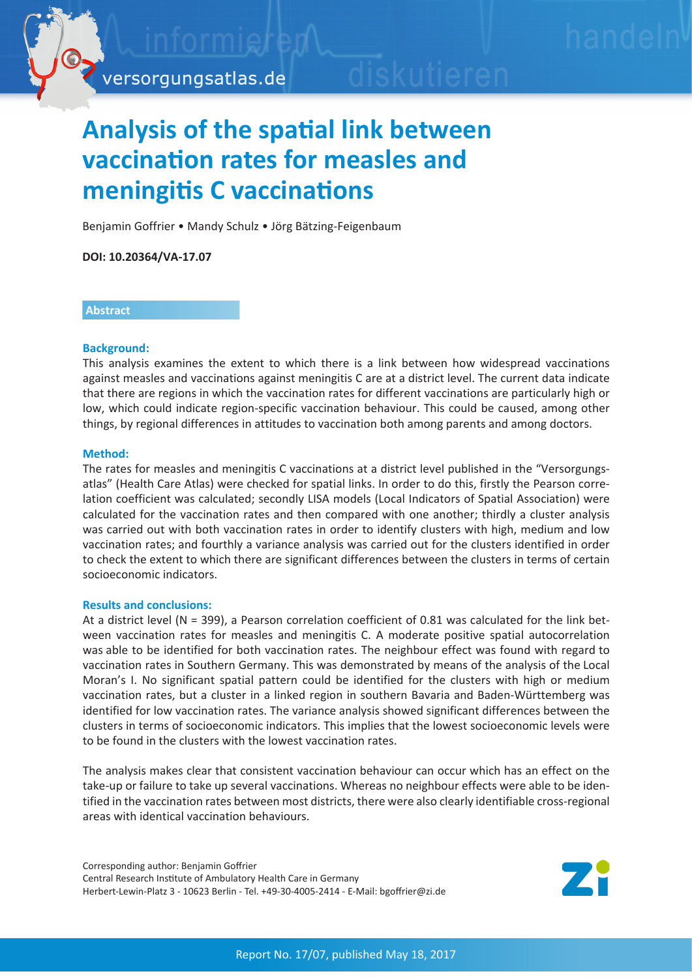

# **Analysis of the spatial link between vaccination rates for measles and meningitis C vaccinations**

Benjamin Goffrier • Mandy Schulz • Jörg Bätzing-Feigenbaum

**DOI: 10.20364/VA-17.07**

## **Abstract**

### **Background:**

This analysis examines the extent to which there is a link between how widespread vaccinations against measles and vaccinations against meningitis C are at a district level. The current data indicate that there are regions in which the vaccination rates for different vaccinations are particularly high or low, which could indicate region-specific vaccination behaviour. This could be caused, among other things, by regional differences in attitudes to vaccination both among parents and among doctors.

### **Method:**

The rates for measles and meningitis C vaccinations at a district level published in the "Versorgungsatlas" (Health Care Atlas) were checked for spatial links. In order to do this, firstly the Pearson correlation coefficient was calculated; secondly LISA models (Local Indicators of Spatial Association) were calculated for the vaccination rates and then compared with one another; thirdly a cluster analysis was carried out with both vaccination rates in order to identify clusters with high, medium and low vaccination rates; and fourthly a variance analysis was carried out for the clusters identified in order to check the extent to which there are significant differences between the clusters in terms of certain socioeconomic indicators.

#### **Results and conclusions:**

At a district level (N = 399), a Pearson correlation coefficient of 0.81 was calculated for the link between vaccination rates for measles and meningitis C. A moderate positive spatial autocorrelation was able to be identified for both vaccination rates. The neighbour effect was found with regard to vaccination rates in Southern Germany. This was demonstrated by means of the analysis of the Local Moran's I. No significant spatial pattern could be identified for the clusters with high or medium vaccination rates, but a cluster in a linked region in southern Bavaria and Baden-Württemberg was identified for low vaccination rates. The variance analysis showed significant differences between the clusters in terms of socioeconomic indicators. This implies that the lowest socioeconomic levels were to be found in the clusters with the lowest vaccination rates.

The analysis makes clear that consistent vaccination behaviour can occur which has an effect on the take-up or failure to take up several vaccinations. Whereas no neighbour effects were able to be identified in the vaccination rates between most districts, there were also clearly identifiable cross-regional areas with identical vaccination behaviours.

Corresponding author: Benjamin Goffrier Central Research Institute of Ambulatory Health Care in Germany Herbert-Lewin-Platz 3 - 10623 Berlin - Tel. +49-30-4005-2414 - E-Mail: bgoffrier@zi.de